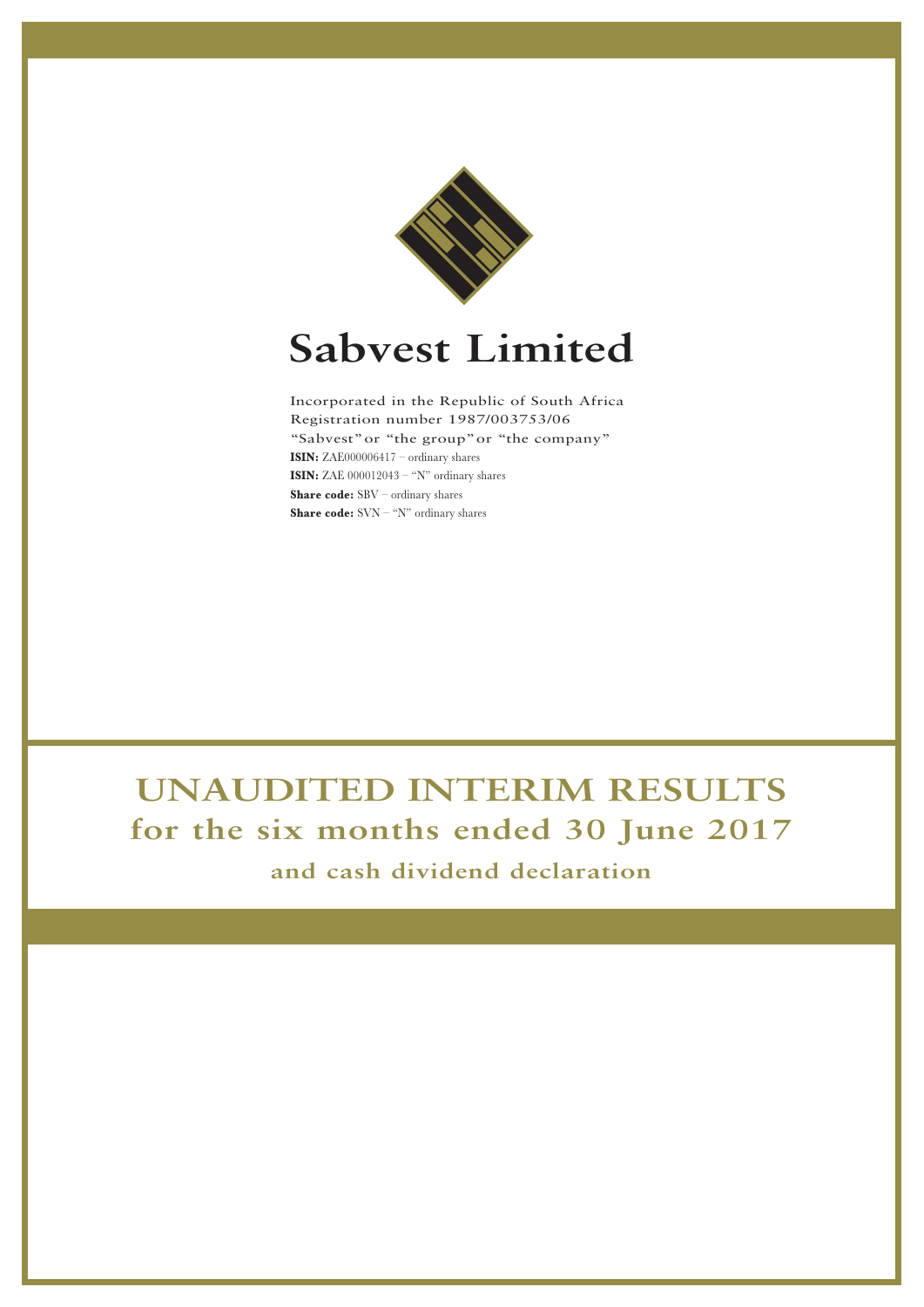

# **Sabvest Limited**

Incorporated in the Republic of South Africa Registration number 1987/003753/06 "Sabvest"or "the group"or "the company" **ISIN:** ZAE000006417 – ordinary shares **ISIN:** ZAE 000012043 – "N" ordinary shares **Share code:** SBV – ordinary shares **Share code:** SVN – "N" ordinary shares

## **UNAUDITED INTERIM RESULTS for the six months ended 30 June 2017**

**and cash dividend declaration**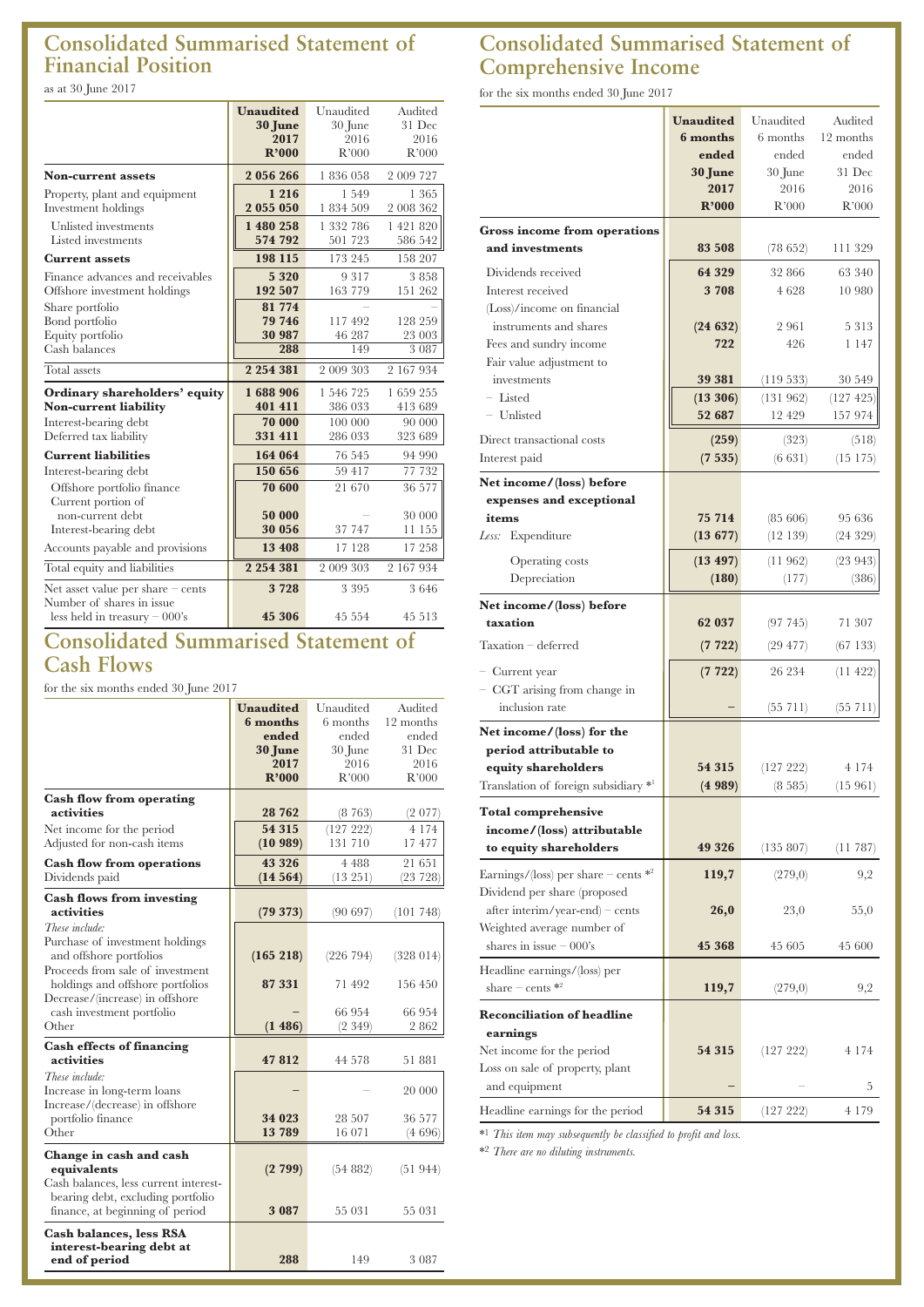## **Consolidated Summarised Statement of Financial Position**

as at 30 June 2017

|                                                                                                                  | <b>Unaudited</b><br>30 June<br>2017<br>R'000 | Unaudited<br>30 June<br>2016<br>R'000      | Audited<br>31 Dec<br>2016<br>R'000      |
|------------------------------------------------------------------------------------------------------------------|----------------------------------------------|--------------------------------------------|-----------------------------------------|
| <b>Non-current assets</b>                                                                                        | 2 056 266                                    | 1836058                                    | 2 009 727                               |
| Property, plant and equipment<br>Investment holdings                                                             | 1 2 1 6<br>2 055 050                         | 1549<br>1834509                            | 1 3 6 5<br>2 008 362                    |
| Unlisted investments<br>Listed investments                                                                       | 1 480 258<br>574 792                         | 1 332 786<br>501 723                       | 1 421 820<br>586 542                    |
| <b>Current assets</b>                                                                                            | 198 115                                      | 173 245                                    | 158 207                                 |
| Finance advances and receivables<br>Offshore investment holdings                                                 | 5 3 2 0<br>192 507                           | 9 3 1 7<br>163 779                         | 3858<br>151 262                         |
| Share portfolio<br>Bond portfolio<br>Equity portfolio<br>Cash balances                                           | 81 774<br>79 746<br>30 987<br>288            | 117492<br>46 287<br>149                    | 128 259<br>23 003<br>3 0 8 7            |
| Total assets                                                                                                     | 2 2 5 4 3 8 1                                | 2 009 303                                  | 2 167 934                               |
| Ordinary shareholders' equity<br><b>Non-current liability</b><br>Interest-bearing debt<br>Deferred tax liability | 1688906<br>401 411<br>70 000<br>331 411      | 1 546 725<br>386 033<br>100 000<br>286 033 | 1659255<br>413 689<br>90 000<br>323 689 |
| <b>Current liabilities</b>                                                                                       | 164 064                                      | 76 545                                     | 94 990                                  |
| Interest-bearing debt<br>Offshore portfolio finance<br>Current portion of                                        | 150 656<br>70 600                            | 59 417<br>21 670                           | 77 732<br>36 577                        |
| non-current debt<br>Interest-bearing debt                                                                        | 50 000<br>30 056                             | 37 747                                     | 30 000<br>11 155                        |
| Accounts payable and provisions                                                                                  | 13 408                                       | 17 128                                     | 17 258                                  |
| Total equity and liabilities                                                                                     | 2 2 5 4 3 8 1                                | 2 009 303                                  | 2 167 934                               |
| Net asset value per share $-$ cents<br>Number of shares in issue<br>less held in treasury $-000$ 's              | 3728<br>45 306                               | 3 3 9 5<br>45 554                          | 3646<br>45 513                          |

## **Consolidated Summarised Statement of Cash Flows**

for the six months ended 30 June 2017

|                                       | <b>Unaudited</b> | Unaudited | Audited   |
|---------------------------------------|------------------|-----------|-----------|
|                                       | 6 months         | 6 months  | 12 months |
|                                       | ended            | ended     | ended     |
|                                       | 30 June          | 30 June   | 31 Dec    |
|                                       | 2017             | 2016      | 2016      |
|                                       | R'000            | R'000     | R'000     |
| <b>Cash flow from operating</b>       |                  |           |           |
| activities                            | 28 762           | (8763)    | (2 077)   |
| Net income for the period             | 54 315           | (127 222) | 4 1 7 4   |
| Adjusted for non-cash items           | (10989)          | 131 710   | 17 477    |
| <b>Cash flow from operations</b>      | 43 3 2 6         | 4 4 8 8   | 21 651    |
| Dividends paid                        | (14564)          | (13 251)  | (23 728)  |
| <b>Cash flows from investing</b>      |                  |           |           |
| activities                            | (79373)          | (90697)   | (101748)  |
| These include:                        |                  |           |           |
| Purchase of investment holdings       |                  |           |           |
| and offshore portfolios               | (165 218)        | (226 794) | (328014)  |
| Proceeds from sale of investment      |                  |           |           |
| holdings and offshore portfolios      | 87331            | 71 492    | 156 450   |
| Decrease/(increase) in offshore       |                  |           |           |
| cash investment portfolio             |                  | 66 954    | 66 954    |
| Other                                 | (1486)           | (2349)    | 2862      |
| <b>Cash effects of financing</b>      |                  |           |           |
| activities                            | 47812            | 44 578    | 51 881    |
| These include:                        |                  |           |           |
| Increase in long-term loans           |                  |           | 20 000    |
| Increase/(decrease) in offshore       | 34 023           | 28 507    | 36 577    |
| portfolio finance<br>Other            | 13789            | 16 071    | (4696)    |
|                                       |                  |           |           |
| Change in cash and cash               |                  |           |           |
| equivalents                           | (2799)           | (54882)   | (51944)   |
| Cash balances, less current interest- |                  |           |           |
| bearing debt, excluding portfolio     |                  |           |           |
| finance, at beginning of period       | 3 0 8 7          | 55 031    | 55 031    |
| <b>Cash balances, less RSA</b>        |                  |           |           |
| interest-bearing debt at              |                  |           |           |
| end of period                         | 288              | 149       | 3 0 8 7   |

## **Consolidated Summarised Statement of Comprehensive Income**

for the six months ended 30 June 2017

| <b>Gross income from operations</b><br>and investments<br>Dividends received<br>Interest received                                                                                                        | <b>Unaudited</b><br>6 months<br>ended<br>30 June<br>2017<br>R'000<br>83 508<br>64 329<br>3708 | Unaudited<br>6 months<br>ended<br>30 June<br>2016<br>R'000<br>(78 652)<br>32 866<br>4628 | Audited<br>12 months<br>ended<br>31 Dec<br>2016<br>R'000<br>111 329<br>63 340<br>10 980 |
|----------------------------------------------------------------------------------------------------------------------------------------------------------------------------------------------------------|-----------------------------------------------------------------------------------------------|------------------------------------------------------------------------------------------|-----------------------------------------------------------------------------------------|
| (Loss)/income on financial<br>instruments and shares<br>Fees and sundry income<br>Fair value adjustment to                                                                                               | (24632)<br>722                                                                                | 2961<br>426                                                                              | 5313<br>1 147                                                                           |
| investments<br>- Listed<br>- Unlisted<br>Direct transactional costs                                                                                                                                      | 39 381<br>(13306)<br>52 687<br>(259)                                                          | (119533)<br>(131962)<br>12 429<br>(323)                                                  | 30 549<br>$(127 \; 425)$<br>157 974<br>(518)                                            |
| Interest paid<br>Net income/(loss) before<br>expenses and exceptional<br>items<br>Less:<br>Expenditure<br>Operating costs<br>Depreciation                                                                | (7535)<br>75 714<br>$(13\ 677)$<br>(13 497)<br>(180)                                          | (6 631)<br>(85, 606)<br>(12139)<br>(11962)<br>(177)                                      | $(15\;175)$<br>95 636<br>(24329)<br>(23943)<br>(386)                                    |
| Net income/(loss) before<br>taxation<br>Taxation - deferred<br>- Current year<br>- CGT arising from change in<br>inclusion rate                                                                          | 62 037<br>(7722)<br>(7722)                                                                    | (97745)<br>$(29\;477)$<br>26 234<br>(55 711)                                             | 71 307<br>(67133)<br>(11422)<br>$(55\;711)$                                             |
| Net income/(loss) for the<br>period attributable to<br>equity shareholders<br>Translation of foreign subsidiary *1<br><b>Total comprehensive</b><br>income/(loss) attributable<br>to equity shareholders | 54 315<br>(4989)<br>49 3 26                                                                   | (127 222)<br>(8585)<br>(135 807)                                                         | 4 1 7 4<br>(15961)<br>(11 787)                                                          |
| Earnings/(loss) per share – cents $*^2$<br>Dividend per share (proposed<br>$after\text{ interim/year-end} - cents$<br>Weighted average number of<br>shares in issue $-000$ 's                            | 119,7<br>26,0<br>45 368                                                                       | (279,0)<br>23,0<br>45 605                                                                | 9,2<br>55,0<br>45 600                                                                   |
| Headline earnings/(loss) per<br>share – cents $\ast^2$<br><b>Reconciliation of headline</b><br>earnings<br>Net income for the period<br>Loss on sale of property, plant                                  | 119,7<br>54 315                                                                               | (279,0)<br>(127 222)                                                                     | 9,2<br>4 1 7 4                                                                          |
| and equipment<br>Headline earnings for the period                                                                                                                                                        | 54 315                                                                                        | (127 222)                                                                                | 5<br>4 179                                                                              |

\*1 *This item may subsequently be classified to profit and loss.*

\*2 *There are no diluting instruments.*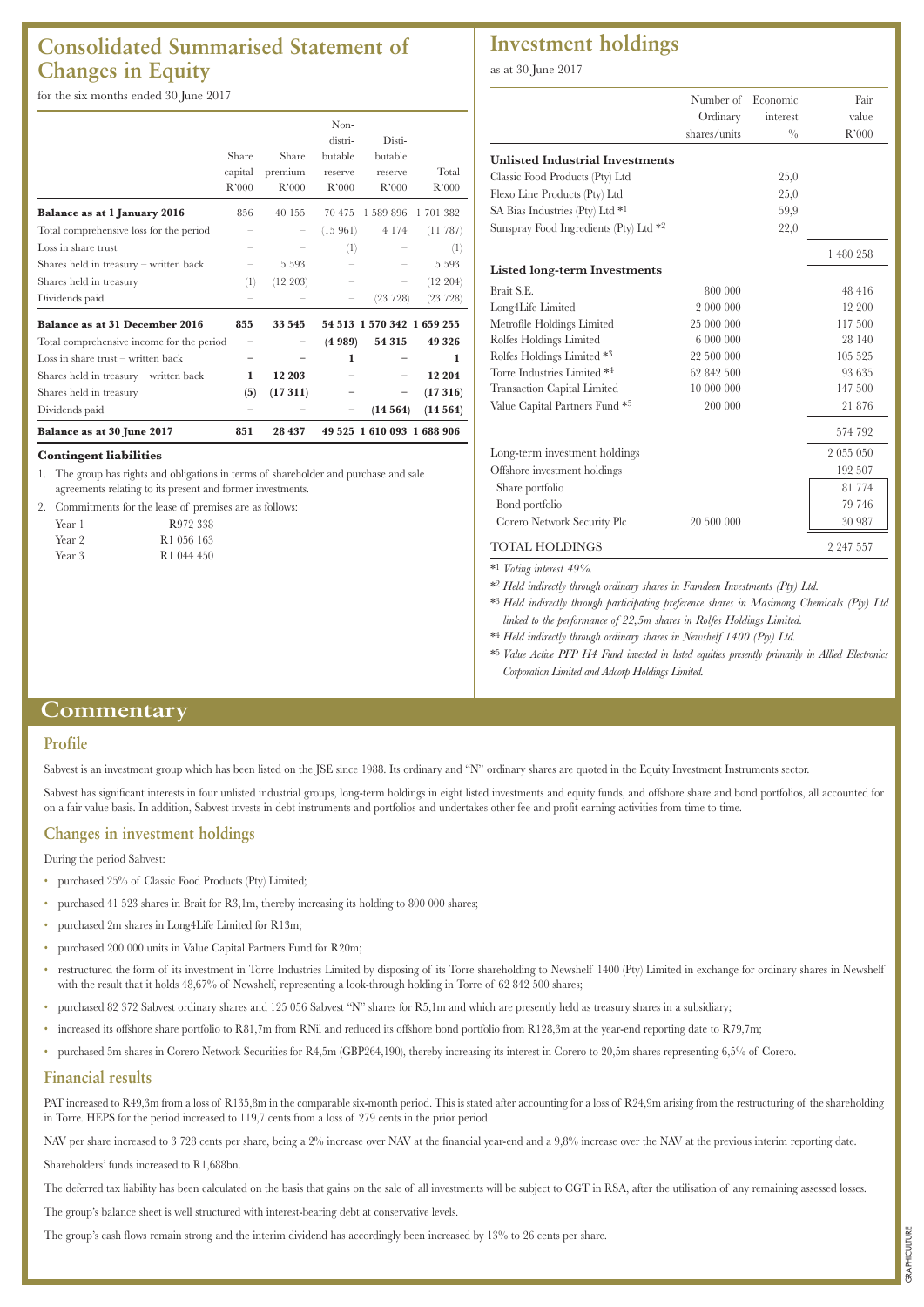## **Consolidated Summarised Statement of Changes in Equity**

for the six months ended 30 June 2017

|                                           |         |          | Non-    |                            |           |
|-------------------------------------------|---------|----------|---------|----------------------------|-----------|
|                                           |         |          | distri- | Disti-                     |           |
|                                           | Share   | Share    | butable | butable                    |           |
|                                           | capital | premium  | reserve | reserve                    | Total     |
|                                           | R'000   | R'000    | R'000   | R'000                      | R'000     |
| Balance as at 1 January 2016              | 856     | 40 155   | 70 475  | 1 589 896                  | 1 701 382 |
| Total comprehensive loss for the period   |         |          | (15961) | 4 1 7 4                    | (11 787)  |
| Loss in share trust                       |         |          | (1)     |                            | (1)       |
| Shares held in treasury – written back    |         | 5 5 9 3  |         |                            | 5 5 9 3   |
| Shares held in treasury                   | (1)     | (12 203) |         |                            | (12 204)  |
| Dividends paid                            |         |          |         | (23 728)                   | (23 728)  |
| <b>Balance as at 31 December 2016</b>     | 855     | 33 545   |         | 54 513 1 570 342 1 659 255 |           |
| Total comprehensive income for the period |         |          | (4989)  | 54 315                     | 49 326    |
| Loss in share trust $-$ written back      |         |          | 1       |                            | 1         |
| Shares held in treasury - written back    | 1       | 12 203   |         |                            | 12 204    |
| Shares held in treasury                   | (5)     | (17311)  |         |                            | (17316)   |
| Dividends paid                            |         |          |         | (14564)                    | (14564)   |
| Balance as at 30 June 2017                | 851     | 28 437   |         | 49 525 1 610 093 1 688 906 |           |

#### **Contingent liabilities**

1. The group has rights and obligations in terms of shareholder and purchase and sale agreements relating to its present and former investments.

|        | Commitments for the lease of premises are as follows: |
|--------|-------------------------------------------------------|
| Year 1 | R972 338                                              |
| Year 2 | R <sub>1</sub> 056 163                                |
| Year 3 | R <sub>1</sub> 044 450                                |
|        |                                                       |

### **Investment holdings**

as at 30 June 2017

|                                        | Number of    | Economic    | Fair          |
|----------------------------------------|--------------|-------------|---------------|
|                                        | Ordinary     | interest    | value         |
|                                        | shares/units | $^{0}/_{0}$ | R'000         |
| <b>Unlisted Industrial Investments</b> |              |             |               |
| Classic Food Products (Pty) Ltd        |              | 25,0        |               |
| Flexo Line Products (Pty) Ltd          |              | 25,0        |               |
| SA Bias Industries (Pty) Ltd *1        |              | 59,9        |               |
| Sunspray Food Ingredients (Pty) Ltd *2 |              | 22,0        |               |
|                                        |              |             | 1 480 258     |
| <b>Listed long-term Investments</b>    |              |             |               |
| Brait S.E.                             | 800 000      |             | 48 416        |
| Long4Life Limited                      | 2 000 000    |             | 12 200        |
| Metrofile Holdings Limited             | 25 000 000   |             | 117 500       |
| Rolfes Holdings Limited                | 6 000 000    |             | 28 140        |
| Rolfes Holdings Limited *3             | 22 500 000   |             | 105 525       |
| Torre Industries Limited *4            | 62 842 500   |             | 93 635        |
| <b>Transaction Capital Limited</b>     | 10 000 000   |             | 147 500       |
| Value Capital Partners Fund *5         | 200 000      |             | 21 876        |
|                                        |              |             | 574 792       |
| Long-term investment holdings          |              |             | 2 055 050     |
| Offshore investment holdings           |              |             | 192 507       |
| Share portfolio                        |              |             | 81 774        |
| Bond portfolio                         |              |             | 79 746        |
| Corero Network Security Plc            | 20 500 000   |             | 30 987        |
| <b>TOTAL HOLDINGS</b>                  |              |             | 2 2 4 7 5 5 7 |

\*1 *Voting interest 49%.*

\*2 *Held indirectly through ordinary shares in Famdeen Investments (Pty) Ltd.*

\*3 *Held indirectly through participating preference shares in Masimong Chemicals (Pty) Ltd linked to the performance of 22,5m shares in Rolfes Holdings Limited.*

\*4 *Held indirectly through ordinary shares in Newshelf 1400 (Pty) Ltd.*

\*5 *Value Active PFP H4 Fund invested in listed equities presently primarily in Allied Electronics Corporation Limited and Adcorp Holdings Limited.*

#### **Commentary**

#### **Profile**

Sabvest is an investment group which has been listed on the JSE since 1988. Its ordinary and "N" ordinary shares are quoted in the Equity Investment Instruments sector.

Sabvest has significant interests in four unlisted industrial groups, long-term holdings in eight listed investments and equity funds, and offshore share and bond portfolios, all accounted for on a fair value basis. In addition, Sabvest invests in debt instruments and portfolios and undertakes other fee and profit earning activities from time to time.

#### **Changes in investment holdings**

During the period Sabvest:

- purchased 25% of Classic Food Products (Pty) Limited;
- purchased 41 523 shares in Brait for R3,1m, thereby increasing its holding to 800 000 shares;
- purchased 2m shares in Long4Life Limited for R13m;
- purchased 200 000 units in Value Capital Partners Fund for R20m;
- restructured the form of its investment in Torre Industries Limited by disposing of its Torre shareholding to Newshelf 1400 (Pty) Limited in exchange for ordinary shares in Newshelf with the result that it holds 48,67% of Newshelf, representing a look-through holding in Torre of 62 842 500 shares;
- purchased 82 372 Sabvest ordinary shares and 125 056 Sabvest "N" shares for R5,1m and which are presently held as treasury shares in a subsidiary;
- increased its offshore share portfolio to R81,7m from RNil and reduced its offshore bond portfolio from R128,3m at the year-end reporting date to R79,7m;
- purchased 5m shares in Corero Network Securities for R4,5m (GBP264,190), thereby increasing its interest in Corero to 20,5m shares representing 6,5% of Corero.

#### **Financial results**

PAT increased to R49,3m from a loss of R135,8m in the comparable six-month period. This is stated after accounting for a loss of R24,9m arising from the restructuring of the shareholding in Torre. HEPS for the period increased to 119,7 cents from a loss of 279 cents in the prior period.

NAV per share increased to 3 728 cents per share, being a 2% increase over NAV at the financial year-end and a 9,8% increase over the NAV at the previous interim reporting date. Shareholders' funds increased to R1,688bn.

The deferred tax liability has been calculated on the basis that gains on the sale of all investments will be subject to CGT in RSA, after the utilisation of any remaining assessed losses.

The group's balance sheet is well structured with interest-bearing debt at conservative levels.

The group's cash flows remain strong and the interim dividend has accordingly been increased by 13% to 26 cents per share.